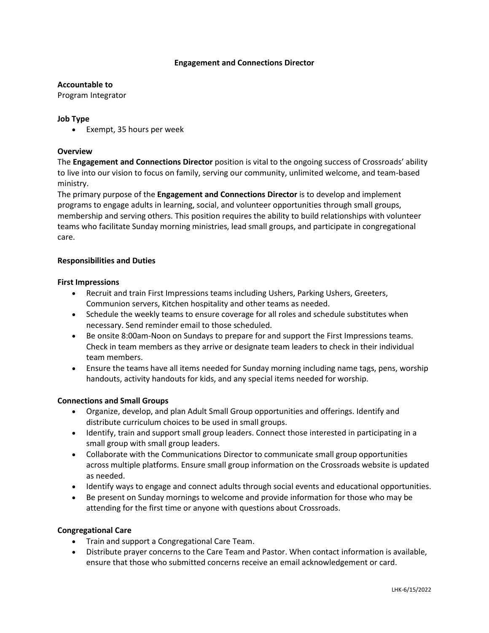# **Engagement and Connections Director**

#### **Accountable to**

Program Integrator

# **Job Type**

• Exempt, 35 hours per week

## **Overview**

The **Engagement and Connections Director** position is vital to the ongoing success of Crossroads' ability to live into our vision to focus on family, serving our community, unlimited welcome, and team-based ministry.

The primary purpose of the **Engagement and Connections Director** is to develop and implement programs to engage adults in learning, social, and volunteer opportunities through small groups, membership and serving others. This position requires the ability to build relationships with volunteer teams who facilitate Sunday morning ministries, lead small groups, and participate in congregational care.

#### **Responsibilities and Duties**

#### **First Impressions**

- Recruit and train First Impressions teams including Ushers, Parking Ushers, Greeters, Communion servers, Kitchen hospitality and other teams as needed.
- Schedule the weekly teams to ensure coverage for all roles and schedule substitutes when necessary. Send reminder email to those scheduled.
- Be onsite 8:00am-Noon on Sundays to prepare for and support the First Impressions teams. Check in team members as they arrive or designate team leaders to check in their individual team members.
- Ensure the teams have all items needed for Sunday morning including name tags, pens, worship handouts, activity handouts for kids, and any special items needed for worship.

#### **Connections and Small Groups**

- Organize, develop, and plan Adult Small Group opportunities and offerings. Identify and distribute curriculum choices to be used in small groups.
- Identify, train and support small group leaders. Connect those interested in participating in a small group with small group leaders.
- Collaborate with the Communications Director to communicate small group opportunities across multiple platforms. Ensure small group information on the Crossroads website is updated as needed.
- Identify ways to engage and connect adults through social events and educational opportunities.
- Be present on Sunday mornings to welcome and provide information for those who may be attending for the first time or anyone with questions about Crossroads.

#### **Congregational Care**

- Train and support a Congregational Care Team.
- Distribute prayer concerns to the Care Team and Pastor. When contact information is available, ensure that those who submitted concerns receive an email acknowledgement or card.